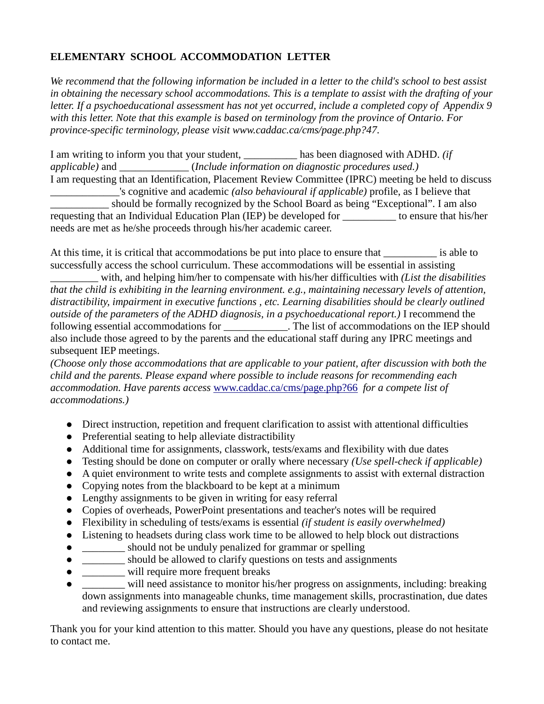## **ELEMENTARY SCHOOL ACCOMMODATION LETTER**

*We recommend that the following information be included in a letter to the child's school to best assist in obtaining the necessary school accommodations. This is a template to assist with the drafting of your letter. If a psychoeducational assessment has not yet occurred, include a completed copy of Appendix 9 with this letter. Note that this example is based on terminology from the province of Ontario. For province-specific terminology, please visit www.caddac.ca/cms/page.php?47.*

I am writing to inform you that your student, \_\_\_\_\_\_\_\_\_\_ has been diagnosed with ADHD. *(if applicable)* and \_\_\_\_\_\_\_\_\_\_\_\_\_ (*Include information on diagnostic procedures used.)* I am requesting that an Identification, Placement Review Committee (IPRC) meeting be held to discuss \_\_\_\_\_\_\_\_\_\_\_\_\_'s cognitive and academic *(also behavioural if applicable)* profile, as I believe that \_\_\_\_\_\_\_\_\_\_\_ should be formally recognized by the School Board as being "Exceptional". I am also requesting that an Individual Education Plan (IEP) be developed for \_\_\_\_\_\_\_\_\_\_ to ensure that his/her needs are met as he/she proceeds through his/her academic career.

At this time, it is critical that accommodations be put into place to ensure that \_\_\_\_\_\_\_\_\_\_\_ is able to successfully access the school curriculum. These accommodations will be essential in assisting

\_\_\_\_\_\_\_\_\_ with, and helping him/her to compensate with his/her difficulties with *(List the disabilities that the child is exhibiting in the learning environment. e.g., maintaining necessary levels of attention, distractibility, impairment in executive functions , etc. Learning disabilities should be clearly outlined outside of the parameters of the ADHD diagnosis, in a psychoeducational report.)* I recommend the following essential accommodations for \_\_\_\_\_\_\_\_\_\_\_\_. The list of accommodations on the IEP should also include those agreed to by the parents and the educational staff during any IPRC meetings and subsequent IEP meetings.

*(Choose only those accommodations that are applicable to your patient, after discussion with both the child and the parents. Please expand where possible to include reasons for recommending each accommodation. Have parents access* www.caddac.ca/cms/page.php?66 *for a compete list of accommodations.)*

- Direct instruction, repetition and frequent clarification to assist with attentional difficulties
- Preferential seating to help alleviate distractibility
- Additional time for assignments, classwork, tests/exams and flexibility with due dates
- Testing should be done on computer or orally where necessary *(Use spell-check if applicable)*
- A quiet environment to write tests and complete assignments to assist with external distraction
- Copying notes from the blackboard to be kept at a minimum
- Lengthy assignments to be given in writing for easy referral
- Copies of overheads, PowerPoint presentations and teacher's notes will be required
- Flexibility in scheduling of tests/exams is essential *(if student is easily overwhelmed)*
- Listening to headsets during class work time to be allowed to help block out distractions
- $\Box$  should not be unduly penalized for grammar or spelling
- should be allowed to clarify questions on tests and assignments
- $\bullet$  \_\_\_\_\_\_\_\_\_ will require more frequent breaks
- $\Box$  will need assistance to monitor his/her progress on assignments, including: breaking down assignments into manageable chunks, time management skills, procrastination, due dates and reviewing assignments to ensure that instructions are clearly understood.

Thank you for your kind attention to this matter. Should you have any questions, please do not hesitate to contact me.